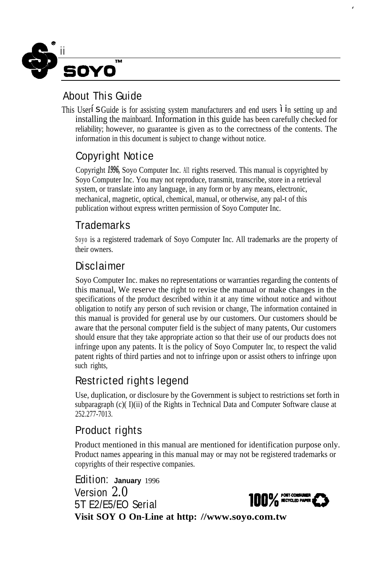

#### About This Guide

This User' SGuide is for assisting system manufacturers and end users "in setting up and installing the mainboard. Information in this guide has been carefully checked for reliability; however, no guarantee is given as to the correctness of the contents. The information in this document is subject to change without notice.

#### Copyright Notice

Copyright *1996,* Soyo Computer Inc. AI1 rights reserved. This manual is copyrighted by Soyo Computer Inc. You may not reproduce, transmit, transcribe, store in a retrieval system, or translate into any language, in any form or by any means, electronic, mechanical, magnetic, optical, chemical, manual, or otherwise, any pal-t of this publication without express written permission of Soyo Computer Inc.

#### **Trademarks**

Soyo is a registered trademark of Soyo Computer Inc. All trademarks are the property of their owners.

#### **Disclaimer**

Soyo Computer Inc. makes no representations or warranties regarding the contents of this manual, We reserve the right to revise the manual or make changes in the specifications of the product described within it at any time without notice and without obligation to notify any person of such revision or change, The information contained in this manual is provided for general use by our customers. Our customers should be aware that the personal computer field is the subject of many patents, Our customers should ensure that they take appropriate action so that their use of our products does not infringe upon any patents. It is the policy of Soyo Computer Inc, to respect the valid patent rights of third parties and not to infringe upon or assist others to infringe upon such rights,

#### Restricted rights legend

Use, duplication, or disclosure by the Government is subject to restrictions set forth in subparagraph (c)( I)(ii) of the Rights in Technical Data and Computer Software clause at 252.277-7013.

#### Product rights

Product mentioned in this manual are mentioned for identification purpose only. Product names appearing in this manual may or may not be registered trademarks or copyrights of their respective companies.

Edition: **January** 1996 Version *2.0*  $5T$  E2/E5/EO Serial 100%  $\frac{100}{20}$   $\frac{100}{20}$  acrossives **Visit SOY O On-Line at http: //www.soyo.com.tw**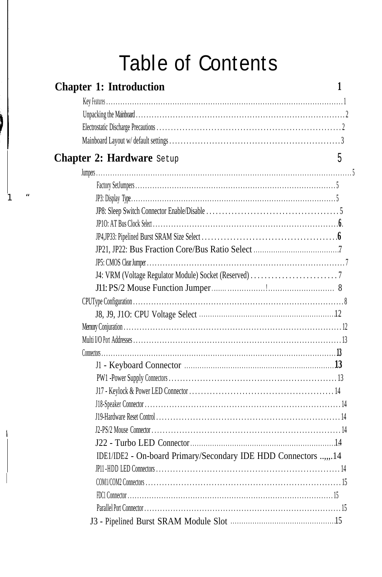# **Table of Contents**

| <b>Chapter 1: Introduction</b>                                  | 1 |
|-----------------------------------------------------------------|---|
|                                                                 |   |
|                                                                 |   |
|                                                                 |   |
|                                                                 |   |
| <b>Chapter 2: Hardware</b> Setup                                | 5 |
|                                                                 |   |
|                                                                 |   |
|                                                                 |   |
|                                                                 |   |
|                                                                 |   |
|                                                                 |   |
|                                                                 |   |
|                                                                 |   |
|                                                                 |   |
|                                                                 |   |
|                                                                 |   |
|                                                                 |   |
|                                                                 |   |
|                                                                 |   |
|                                                                 |   |
|                                                                 |   |
|                                                                 |   |
|                                                                 |   |
|                                                                 |   |
|                                                                 |   |
|                                                                 |   |
|                                                                 |   |
| IDE1/IDE2 - On-board Primary/Secondary IDE HDD Connectors ,,.14 |   |
|                                                                 |   |
|                                                                 |   |
|                                                                 |   |
|                                                                 |   |
|                                                                 |   |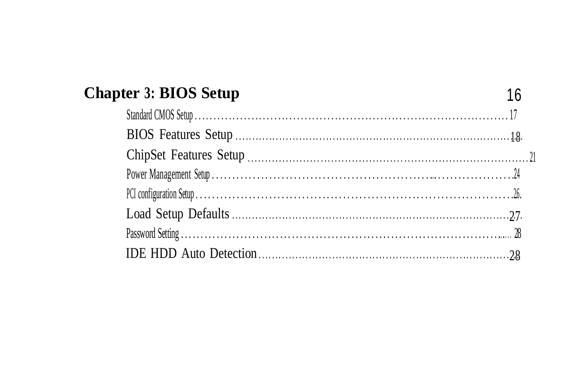| <b>Chapter 3: BIOS Setup</b> |  |
|------------------------------|--|
|                              |  |
|                              |  |
|                              |  |
|                              |  |
|                              |  |
|                              |  |
|                              |  |
|                              |  |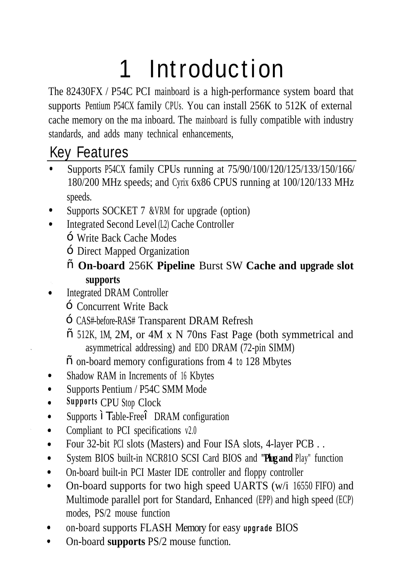# 1 Introduction

The 82430FX / P54C PCI mainboard is a high-performance system board that supports Pentium P54CX family CPUs. You can install 256K to 512K of external cache memory on the ma inboard. The mainboard is fully compatible with industry standards, and adds many technical enhancements,

### Key Features

- Supports P54CX family CPUs running at 75/90/100/120/125/133/150/166/ 180/200 MHz speeds; and Cyrix 6x86 CPUS running at 100/120/133 MHz speeds.
- Supports SOCKET 7 &VRM for upgrade (option)
- Integrated Second Level (L2) Cache Controller
	- Write Back Cache Modes
	- Direct Mapped Organization
	- **On-board** 256K **Pipeline** Burst SW **Cache and upgrade slot supports**
- Integrated DRAM Controller  $\bullet$ 
	- Concurrent Write Back
	- CAS#-before-RAS# Transparent DRAM Refresh
	- 512K, 1M, 2M, or 4M x N 70ns Fast Page (both symmetrical and asymmetrical addressing) and EDO DRAM (72-pin SIMM)
	- on-board memory configurations from 4 to 128 Mbytes
- Shadow RAM in Increments of 16 Kbytes  $\bullet$
- Supports Pentium / P54C SMM Mode  $\bullet$
- **Supports** CPU Stop Clock  $\bullet$
- Supports "Table-Free" DRAM configuration  $\bullet$
- Compliant to PCI specifications v2.0  $\bullet$
- Four 32-bit PCI slots (Masters) and Four ISA slots, 4-layer PCB . .  $\bullet$
- System BIOS built-in NCR81O SCSI Card BIOS and **"Plug and** Play" function  $\bullet$
- On-board built-in PCI Master IDE controller and floppy controller  $\blacksquare$
- On-board supports for two high speed UARTS (w/i 16550 FIFO) and  $\bullet$ Multimode parallel port for Standard, Enhanced (EPP) and high speed (ECP) modes, PS/2 mouse function
- on-board supports FLASH Memory for easy **upgrade** BIOS  $\bullet$
- On-board **supports** PS/2 mouse function. $\bullet$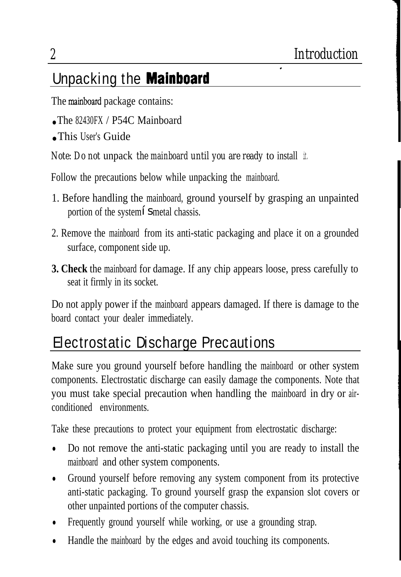.

### Unpacking the Mainboard

The mainboard package contains:

- The  $82430FX / P54C$  Mainboard
- This User's Guide

*Note: Do not* unpack *the mainboard until you are ready* to install it.

Follow the precautions below while unpacking the mainboard.

- 1. Before handling the mainboard, ground yourself by grasping an unpainted portion of the system' Smetal chassis.
- 2. Remove the mainboard from its anti-static packaging and place it on a grounded surface, component side up.
- **3. Check** the mainboard for damage. If any chip appears loose, press carefully to seat it firmly in its socket.

Do not apply power if the mainboard appears damaged. If there is damage to the board contact your dealer immediately.

### Electrostatic Discharge Precautions

Make sure you ground yourself before handling the mainboard or other system components. Electrostatic discharge can easily damage the components. Note that you must take special precaution when handling the mainboard in dry or airconditioned environments.

Take these precautions to protect your equipment from electrostatic discharge:

- Do not remove the anti-static packaging until you are ready to install the mainboard and other system components.
- $\bullet$ Ground yourself before removing any system component from its protective anti-static packaging. To ground yourself grasp the expansion slot covers or other unpainted portions of the computer chassis.
- Frequently ground yourself while working, or use a grounding strap.
- Handle the mainboard by the edges and avoid touching its components.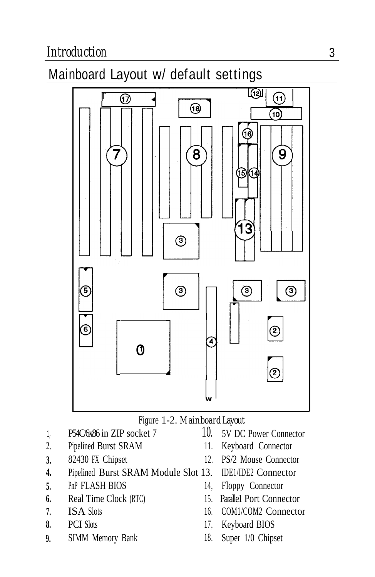#### Mainboard Layout w/ default settings



#### *Figure* 1-2. *Mainboard Layout*

- 1, P54C/6x86 in ZIP socket 7
- 2. Pipelined Burst SRAM
- **3.** 82430 FX Chipset
- **4.** Pipelined Burst SRAM Module Slot 13.
- **5.** PnP FLASH BIOS 14,
- **6.** Real Time Clock (RTC)
- **7. ISA Slots**
- **8.** PCI Slots
- **9.** SIMM Memory Bank 18.
- 10. 5V DC Power Connector
- 11. Keyboard Connector
- PS/2 Mouse Connector
- IDE1/IDE2 Connector
- Floppy Connector
- 15. Parallel Port Connector
- COM1/COM2 Connector
- 17, Keyboard BIOS
- Super 1/0 Chipset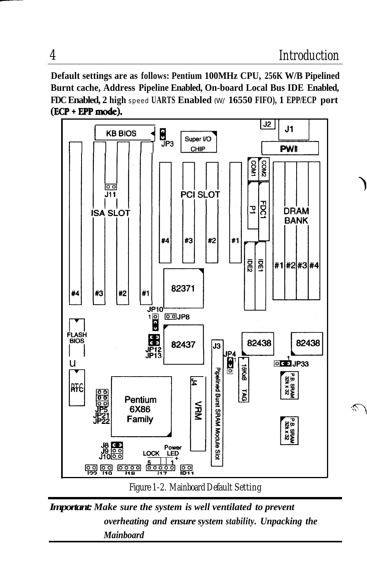'1

 $\widehat{\mathscr{N}}$ 

**Default settings are as follows: Pentium 100MHz CPU, 256K W/B Pipelined Burnt cache, Address Pipeline Enabled, On-board Local Bus IDE Enabled, FDC Enabled, 2 high** speed **UARTS Enabled** (W/ **16550 FIFO), 1 EPP/ECP port** (ECP + EPP mode).



*Figure 1-2. Mainboard Default Setting*

*Important:Make sure the system is well ventilated to prevent overheating and ensure system stability. Unpacking the Mainboard*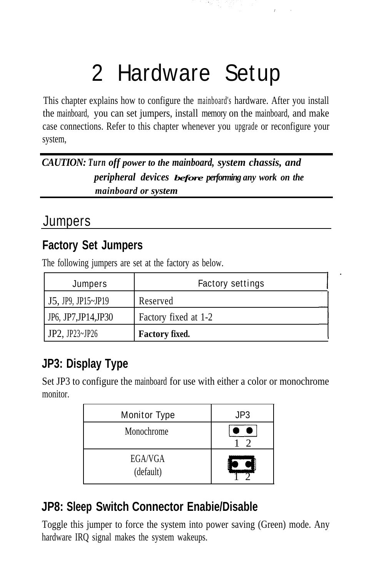# 2 Hardware Setup

This chapter explains how to configure the mainboard's hardware. After you install the mainboard, you can set jumpers, install memory on the mainboard, and make case connections. Refer to this chapter whenever you upgrade or reconfigure your system,

*CAUTION: Turn off power to the mainboard, system chassis, and peripheral devices before performing any work on the mainboard or system*

#### **Jumpers**

#### **Factory Set Jumpers**

The following jumpers are set at the factory as below.

| <b>Jumpers</b>        | <b>Factory settings</b> |  |
|-----------------------|-------------------------|--|
| $J5$ , JP9, JP15~JP19 | Reserved                |  |
| JP6, JP7, JP14, JP30  | Factory fixed at 1-2    |  |
| JP2, JP23~JP26        | <b>Factory fixed.</b>   |  |

#### **JP3: Display Type**

Set JP3 to configure the mainboard for use with either a color or monochrome monitor.

| <b>Monitor Type</b>  | JP3 |
|----------------------|-----|
| Monochrome           |     |
| EGA/VGA<br>(default) |     |

#### **JP8: Sleep Switch Connector Enabie/Disable**

Toggle this jumper to force the system into power saving (Green) mode. Any hardware IRQ signal makes the system wakeups.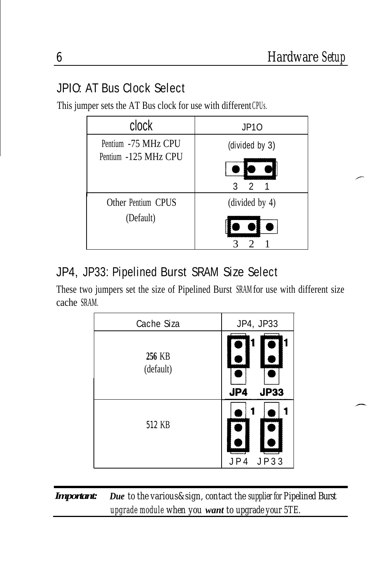r

#### JPIO: AT Bus Clock Select

This jumper sets the AT Bus clock for use with different CPUs.

| clock                | <b>JP10</b>    |
|----------------------|----------------|
| Pentium -75 MHz CPU  | (divided by 3) |
| Pentium -125 MHz CPU | 2<br>3         |
| Other Pentium CPUS   | divided by 4)  |
| (Default)            |                |

#### JP4, JP33: Pipelined Burst SRAM Size Select

These two jumpers set the size of Pipelined Burst SRAM for use with different size cache SRAM.

| <b>Cache Siza</b>   | JP4, JP33          |
|---------------------|--------------------|
| 256 KB<br>(default) | JP4<br><b>JP33</b> |
| 512 KB              | JP33<br>JP4        |

*Important: Due to the various&sign, contact the supplier for Pipelined Burst upgrade module when you want to upgrade your 5TE.*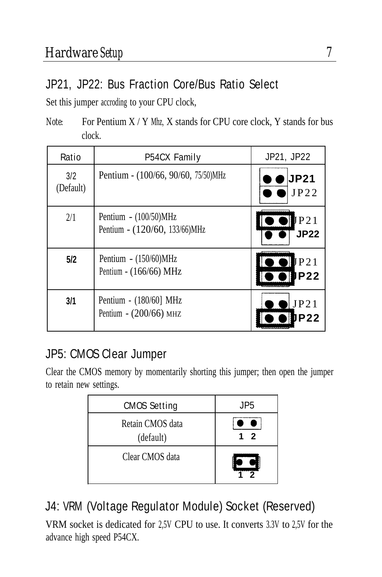#### JP21, JP22: Bus Fraction Core/Bus Ratio Select

Set this jumper accroding to your CPU clock,

*Note:* For Pentium X / Y Mhz, X stands for CPU core clock, Y stands for bus clock.

| Ratio            | <b>P54CX Family</b>                                       | JP21, JP22                                                                        |
|------------------|-----------------------------------------------------------|-----------------------------------------------------------------------------------|
| 3/2<br>(Default) | Pentium - (100/66, 90/60, 75/50)MHz                       | <b>JP21</b><br>JP22                                                               |
| 2/1              | Pentium $- (100/50)$ MHz<br>Pentium - (120/60, 133/66)MHz | P21<br>JP22                                                                       |
| 5/2              | Pentium - (150/60)MHz<br>Pentium - (166/66) MHz           | $\overline{\bullet}$ $\bullet$ $\overline{\bullet}$ P <sub>21</sub><br><b>P22</b> |
| 3/1              | Pentium - (180/60] MHz<br>Pentium - (200/66) MHZ          | JP21<br><b>P22</b>                                                                |
|                  |                                                           |                                                                                   |

#### JP5: CMOS Clear Jumper

Clear the CMOS memory by momentarily shorting this jumper; then open the jumper to retain new settings.

| <b>CMOS Setting</b>           | JP <sub>5</sub>         |
|-------------------------------|-------------------------|
| Retain CMOS data<br>(default) | $\overline{\mathbf{z}}$ |
| Clear CMOS data               | າ                       |

#### J4: VRM (Voltage Regulator Module) Socket (Reserved)

VRM socket is dedicated for 2,5V CPU to use. It converts 3.3V to 2,5V for the advance high speed P54CX.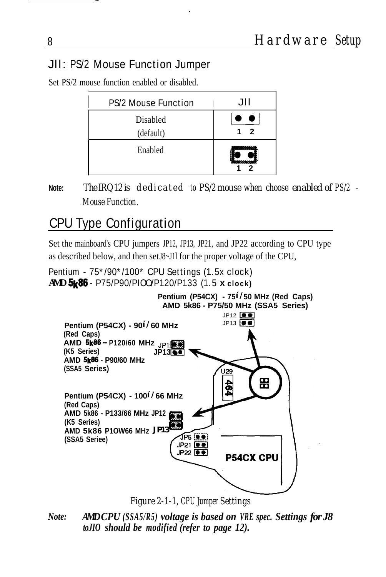#### Jll: PS/2 Mouse Function Jumper

| <b>PS/2 Mouse Function</b> | ЛH                               |
|----------------------------|----------------------------------|
| Disabled                   |                                  |
| (default)                  | 2                                |
| Enabled                    | <b><i><u>Programment</u></i></b> |

Set PS/2 mouse function enabled or disabled.

**Note:** *The IRQ12 is dedicated to PS/2 mouse when choose enabled of PS/2 - Mouse Function.*

#### CPU Type Configuration

Set the mainboard's CPU jumpers JP12, JP13, JP21, and JP22 according to CPU type as described below, and then set J8~J11 for the proper voltage of the CPU,

#### Pentium - 75\*/90\*/100\* CPU Settings (1.5x clock) **AMD**%86 - P75/P90/PIOO/P120/P133 (1.5 **X clock)**



*Figure 2-1-1, CPU Jumper Settings*

*Note: AMDCPU* (SSA5/R5) *voltage is based on VRE spec. Settings for J8 toJIO should be modified (refer to page 12).*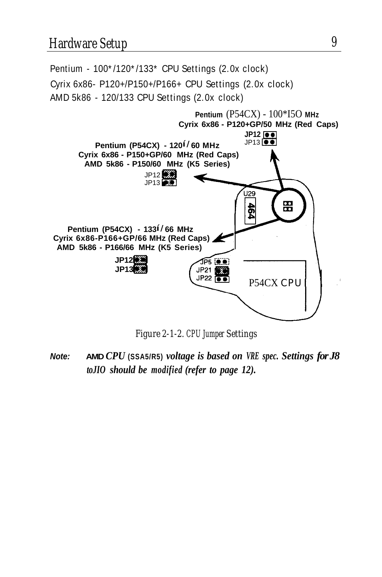

*Figure 2-1-2. CPU Jumper Settings*

**Note: AMD** *CPU* **(SSA5/R5)** ') *voltage is based on VRE spec. Settings for J8 toJIO should be modified (refer to page 12).*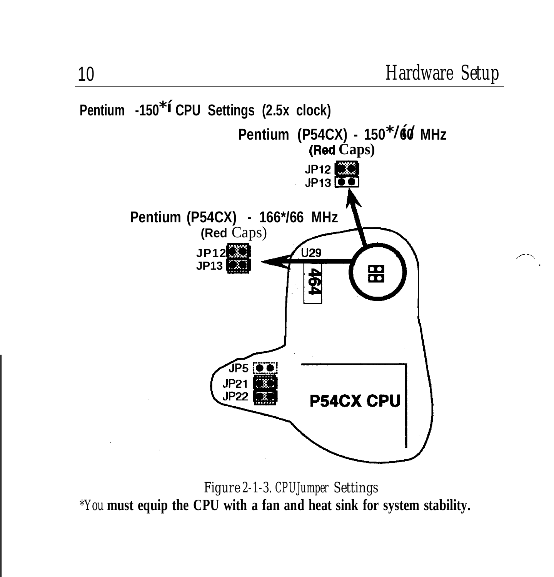

*Figure 2-1-3. CPUJumper Settings \*You* **must equip the CPU with a fan and heat sink for system stability.**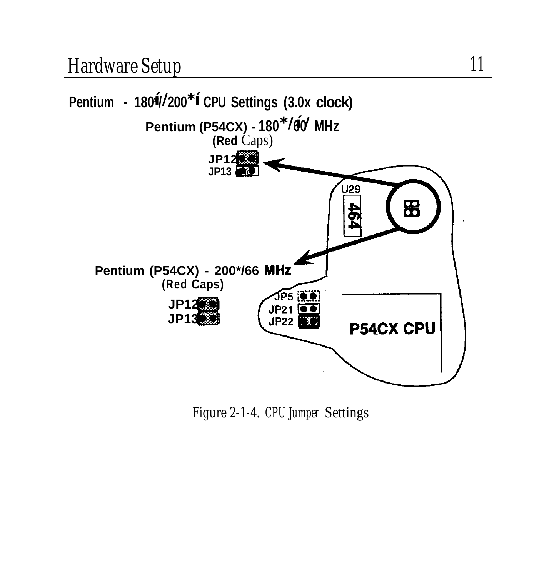

*Figure 2-1-4. CPU Jumper* Settings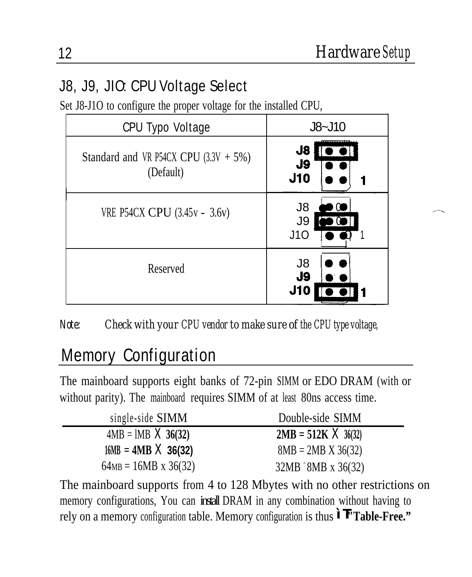#### J8, J9, JIO: CPU Voltage Select

Set J8-J1O to configure the proper voltage for the installed CPU,

| <b>CPU Typo Voltage</b>                               | $J8-J10$                     |
|-------------------------------------------------------|------------------------------|
| Standard and VR P54CX CPU $(3.3V + 5\%)$<br>(Default) | J8<br>J9<br>J10              |
| VRE P54CX CPU (3.45v - 3.6v)                          | J8<br>$\cdot$ O<br>J9<br>J10 |
| Reserved                                              | J8<br>J9<br>J10              |

Note: *Check with your CPU vendor to make sure of the CPU type voltage,*

#### Memory Configuration

The mainboard supports eight banks of 72-pin SIMM or EDO DRAM (with or without parity). The mainboard requires SIMM of at least 80ns access time.

| single-side SIMM            | Double-side SIMM           |
|-----------------------------|----------------------------|
| $4MB = IMB \times 36(32)$   | $2MB = 512K \times 36(32)$ |
| $16MB = 4MB \times 36(32)$  | $8MB = 2MB \times 36(32)$  |
| $64MB = 16MB \times 36(32)$ | $32MB = 8MB \times 36(32)$ |

The mainboard supports from 4 to 128 Mbytes with no other restrictions on memory configurations, You can install DRAM in any combination without having to rely on a memory configuration table. Memory configuration is thus "T**"Table-Free."**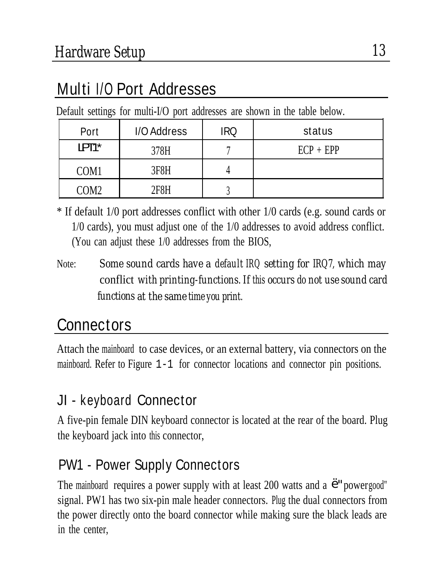### Multi I/O Port Addresses

Default settings for multi-I/O port addresses are shown in the table below.

| Port               | I/O Address | IRQ | status      |
|--------------------|-------------|-----|-------------|
| LPT <sub>1</sub> * | 378H        |     | $ECP + EPP$ |
| COM <sub>1</sub>   | 3F8H        |     |             |
| COM2               | 2F8H        |     |             |

\* If default 1/0 port addresses conflict with other 1/0 cards (e.g. sound cards or 1/0 cards), you must adjust one of the 1/0 addresses to avoid address conflict. (You can adjust these 1/0 addresses from the BIOS,

Note: *Some sound cards have a default IRQ setting for IRQ7, which may* conflict *with printing-functions. If this occurs do not use sound card functions at the same time you print.*

## **Connectors**

Attach the mainboard to case devices, or an external battery, via connectors on the mainboard. Refer to Figure 1-1 for connector locations and connector pin positions.

#### JI - keyboard Connector

A five-pin female DIN keyboard connector is located at the rear of the board. Plug the keyboard jack into this connector,

#### PW1 - Power Supply Connectors

The mainboard requires a power supply with at least 200 watts and a '"power good" signal. PW1 has two six-pin male header connectors. Plug the dual connectors from the power directly onto the board connector while making sure the black leads are in the center,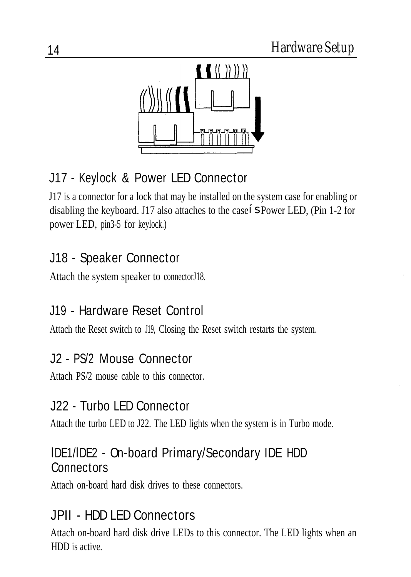

#### J17 - Keylock & Power LED Connector

J17 is a connector for a lock that may be installed on the system case for enabling or disabling the keyboard. J17 also attaches to the case's Power LED, (Pin 1-2 for power LED, pin3-5 for keylock.)

#### J18 - Speaker Connector

Attach the system speaker to connectorJ18.

#### J19 - Hardware Reset Control

Attach the Reset switch to J19, Closing the Reset switch restarts the system.

#### J2 - PS/2 Mouse Connector

Attach PS/2 mouse cable to this connector.

#### J22 - Turbo LED Connector

Attach the turbo LED to J22. The LED lights when the system is in Turbo mode.

#### lDE1/lDE2 - On-board Primary/Secondary IDE HDD **Connectors**

Attach on-board hard disk drives to these connectors.

#### JPII - HDD LED Connectors

Attach on-board hard disk drive LEDs to this connector. The LED lights when an HDD is active.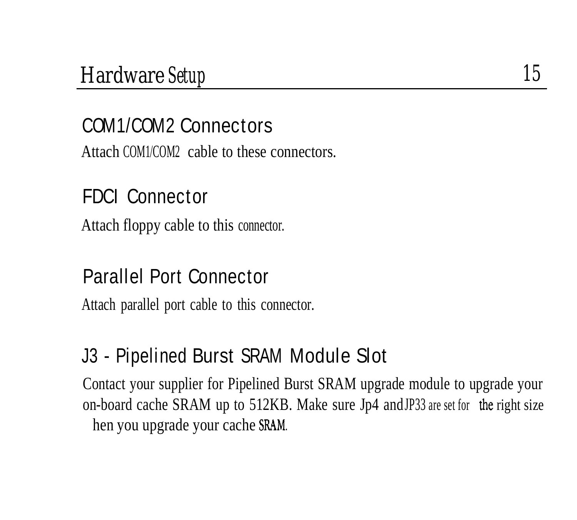#### COM1/COM2 Connectors

Attach COM1/COM2 cable to these connectors.

#### FDCI Connector

Attach floppy cable to this connector.

#### Parallel Port Connector

Attach parallel port cable to this connector.

#### J3 - Pipelined Burst SRAM Module Slot

Contact your supplier for Pipelined Burst SRAM upgrade module to upgrade your on-board cache SRAM up to 512KB. Make sure Jp4 and JP33 are set for the right size hen you upgrade your cache SRAM.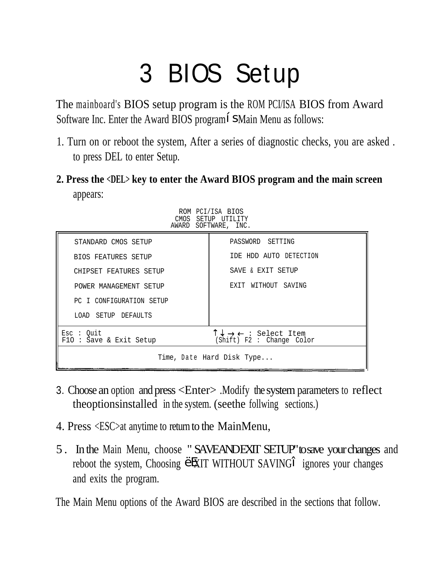# 3 BIOS Setup

The mainboard's BIOS setup program is the ROM PCI/ISA BIOS from Award Software Inc. Enter the Award BIOS program' SMain Menu as follows:

- 1. Turn on or reboot the system, After a series of diagnostic checks, you are asked . to press DEL to enter Setup.
- **2. Press the <DEL> key to enter the Award BIOS program and the main screen** appears:

|                                      | ROM PCI/ISA BIOS<br>CMOS SETUP UTILITY<br>AWARD SOFTWARE, INC.                   |
|--------------------------------------|----------------------------------------------------------------------------------|
| STANDARD CMOS SETUP                  | PASSWORD SETTING                                                                 |
| <b>BIOS FEATURES SETUP</b>           | IDE HDD AUTO DETECTION                                                           |
| CHIPSET FEATURES SETUP               | SAVE & EXIT SETUP                                                                |
| POWER MANAGEMENT SETUP               | EXIT WITHOUT SAVING                                                              |
| PC I CONFIGURATION SETUP             |                                                                                  |
| LOAD SETUP DEFAULTS                  |                                                                                  |
| Esc : Out<br>FlO : Save & Exit Setup | $T \downarrow \rightarrow \leftarrow :$ Select Item<br>(Shift) F2 : Change Color |
| Time, Date Hard Disk Type            |                                                                                  |

- 3. Choose an option and press <Enter> .Modify the system parameters to reflect theoptionsinstalled in the system. (seethe follwing sections.)
- 4. Press <ESC>at anytime to return to the MainMenu,
- 5. In the Main Menu, choose "SAVEANDEXIT SETUP' to save your changes and reboot the system, Choosing 'EXIT WITHOUT SAVING" ignores your changes and exits the program.

The Main Menu options of the Award BIOS are described in the sections that follow.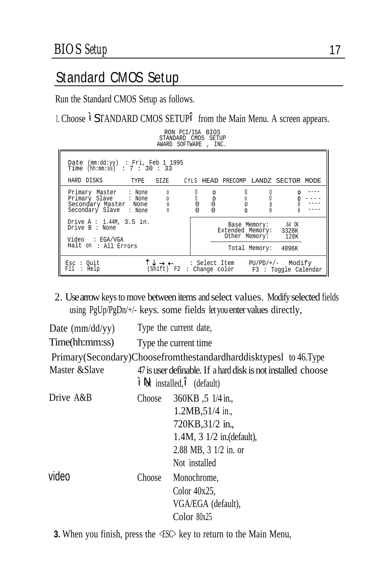#### Standard CMOS Setup

Run the Standard CMOS Setup as follows.

1. Choose "STANDARD CMOS SETUP" from the Main Menu. A screen appears.

| RON PCI/ISA BIOS<br>STANDARD CMOS SETUP<br>AWARD SOFTWARE , INC.                                                                                   |   |                                    |                                                                  |  |
|----------------------------------------------------------------------------------------------------------------------------------------------------|---|------------------------------------|------------------------------------------------------------------|--|
| Date (mm:dd:yy) : Fri, Feb 1 1995<br>Time $(hh:mm:ss)$ : 7 : 30 : 33<br>HARD DISKS<br>TYPE SIZE CYLS HEAD PRECOMP LANDZ SECTOR MODE                |   |                                    |                                                                  |  |
| Primary Master : None<br>0<br>$\begin{matrix}0\\0\\0\end{matrix}$<br>Primary Slave : None<br>Secondary Master None<br>Secondary Slave : None 0     | 0 | $\mathbf{O}$<br>0<br>0<br>$\Omega$ |                                                                  |  |
| Drive $A : 1.44M, 3.5$ in.<br>Drive B : None<br>Video : EGA/VGA<br>Halt on : All Errors                                                            |   | Extended Memory: 3328K             | Base Memory: .64 OK<br>Other Memory: 128K<br>Total Memory: 4096K |  |
| Esc : Out<br>$T \downarrow \rightarrow \leftarrow$ : Select Item PU/PD/+/-: Modify<br>(Shift) F2 : Change color F3 : Toggle Calendar<br>F11 : Help |   |                                    |                                                                  |  |

2. Use arrow keys to move between items and select values. Modify selected fields using PgUp/PgDn/+/- keys. some fields let you enter values directly,

| Date $\text{(mm/dd/yy)}$ | Type the current date,                                                                     |                                                                                                                                               |  |
|--------------------------|--------------------------------------------------------------------------------------------|-----------------------------------------------------------------------------------------------------------------------------------------------|--|
| Time(hh:mm:ss)           | Type the current time.                                                                     |                                                                                                                                               |  |
|                          |                                                                                            | Primary(Secondary)Choosefromthestandardharddisktypes1 to 46.Type                                                                              |  |
| Master & Slave           | 47 is user definable. If a hard disk is not installed choose<br>"Not installed," (default) |                                                                                                                                               |  |
| Drive A&B                | Choose                                                                                     | 360KB ,5 1/4 in.,<br>1.2MB, 51/4 in.,<br>720KB, 31/2 in.,<br>$1.4M$ , $3 \frac{1}{2}$ in.(default),<br>2.88 MB, 3 1/2 in. or<br>Not installed |  |
| video                    | Choose                                                                                     | Monochrome,<br>Color $40x25$ .<br>VGA/EGA (default),<br>Color $80x25$                                                                         |  |

**3.** When you finish, press the  $\langle$ ESC> key to return to the Main Menu,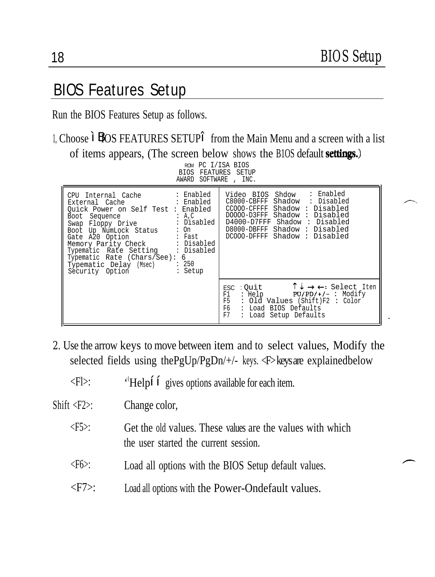#### BIOS Features Setup

Run the BIOS Features Setup as follows.

1, Choose "BIOS FEATURES SETUP" from the Main Menu and a screen with a list of items appears, (The screen below shows the B10S default settings.)

| ROM PC I/ISA BIOS<br><b>BIOS FEATURES SETUP</b><br>AWARD SOFTWARE , INC.                                                                                                                                                                                                                                                                                                                                     |                                                                                                                                                                                                                                   |
|--------------------------------------------------------------------------------------------------------------------------------------------------------------------------------------------------------------------------------------------------------------------------------------------------------------------------------------------------------------------------------------------------------------|-----------------------------------------------------------------------------------------------------------------------------------------------------------------------------------------------------------------------------------|
| : Enabled<br>CPU Internal Cache<br>: Enabled<br>External Cache<br>Ouick Power on Self Test : Enabled<br>A, C<br>Boot Sequence<br>: Disabled<br>Swap Floppy Drive<br>Boot Up NumLock Status<br>$:$ On<br>Gate A20 Option<br>Fast : Fast<br>Memory Parity Check : Disabled<br>Typematic Rate Setting : Disabled<br>Typematic Rate (Chars/See): 6<br>Typematic Delay (Msec) : 250<br>Security Option<br>: Setup | : Enabled<br>Video BIOS Shdow<br>C8000-CBFFF Shadow<br>: Disabled<br>CCOOO-CFFFF Shadow: Disabled<br>DOOOO-D3FFF Shadow: Disabled<br>D4000-D7FFF Shadow: Disabled<br>D8000-DBFFF Shadow: Disabled<br>DC000-DFFFF Shadow: Disabled |
|                                                                                                                                                                                                                                                                                                                                                                                                              | $\uparrow \downarrow \rightarrow \leftarrow:$ Select Iten<br>ESC : Ouit<br>: Help<br>$PU/PD/+/-$ : Modify<br>F1 -<br>F5<br>: Old Values (Shift)F2 : Color<br>: Load BIOS Defaults<br>F6<br>F7<br>: Load Setup Defaults            |

- *2.* Use the arrow keys to move between item and to select values, Modify the selected fields using thePgUp/PgDn/+/- keys. <F> keys are explained below
	- $\langle$ Fl $>$ ' 'Help'' gives options available for each item.

Shift <F2>: Change color,

- $\langle F5 \rangle$ : Get the old values. These values are the values with which the user started the current session.
- <F6>: Load all options with the BIOS Setup default values.
- <F7>: Load all options with the Power-Ondefault values.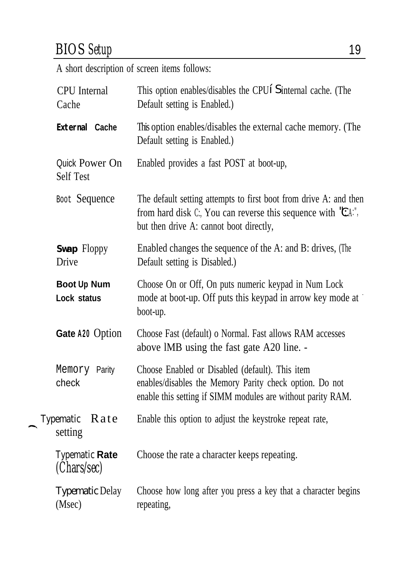### *BIOS Setup* 19

A short description of screen items follows:

| <b>CPU</b> Internal<br>Cache       | This option enables/disables the CPU' Sinternal cache. (The<br>Default setting is Enabled.)                                                                                        |
|------------------------------------|------------------------------------------------------------------------------------------------------------------------------------------------------------------------------------|
| External Cache                     | This option enables/disables the external cache memory. (The<br>Default setting is Enabled.)                                                                                       |
| Quick Power On<br><b>Self Test</b> | Enabled provides a fast POST at boot-up,                                                                                                                                           |
| Boot Sequence                      | The default setting attempts to first boot from drive A: and then<br>from hard disk $C$ ; You can reverse this sequence with $C^*A$ .",<br>but then drive A: cannot boot directly, |
| Swap Floppy<br>Drive               | Enabled changes the sequence of the A: and B: drives, (The<br>Default setting is Disabled.)                                                                                        |
| Boot Up Num<br>Lock status         | Choose On or Off, On puts numeric keypad in Num Lock<br>mode at boot-up. Off puts this keypad in arrow key mode at<br>boot-up.                                                     |
| Gate A20 Option                    | Choose Fast (default) o Normal. Fast allows RAM accesses<br>above IMB using the fast gate A20 line. -                                                                              |
| Memory Parity<br>check             | Choose Enabled or Disabled (default). This item<br>enables/disables the Memory Parity check option. Do not<br>enable this setting if SIMM modules are without parity RAM.          |
| Typematic<br>Rate<br>setting       | Enable this option to adjust the keystroke repeat rate,                                                                                                                            |
| Typematic Rate<br>(Chars/sec)      | Choose the rate a character keeps repeating.                                                                                                                                       |
| <b>Typematic Delay</b><br>(Msec)   | Choose how long after you press a key that a character begins<br>repeating,                                                                                                        |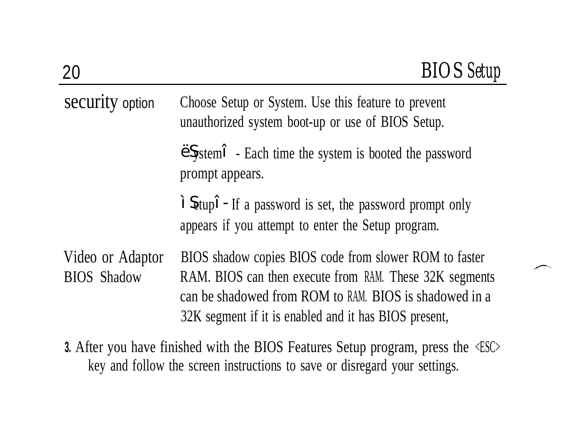| security option                        | Choose Setup or System. Use this feature to prevent<br>unauthorized system boot-up or use of BIOS Setup.                                                                                                                             |
|----------------------------------------|--------------------------------------------------------------------------------------------------------------------------------------------------------------------------------------------------------------------------------------|
|                                        | 'System" - Each time the system is booted the password<br>prompt appears.                                                                                                                                                            |
|                                        | "Setup" - If a password is set, the password prompt only<br>appears if you attempt to enter the Setup program.                                                                                                                       |
| Video or Adaptor<br><b>BIOS</b> Shadow | BIOS shadow copies BIOS code from slower ROM to faster<br>RAM. BIOS can then execute from RAM. These 32K segments<br>can be shadowed from ROM to RAM. BIOS is shadowed in a<br>32K segment if it is enabled and it has BIOS present, |

**3.** After you have finished with the BIOS Features Setup program, press the <ESC> key and follow the screen instructions to save or disregard your settings.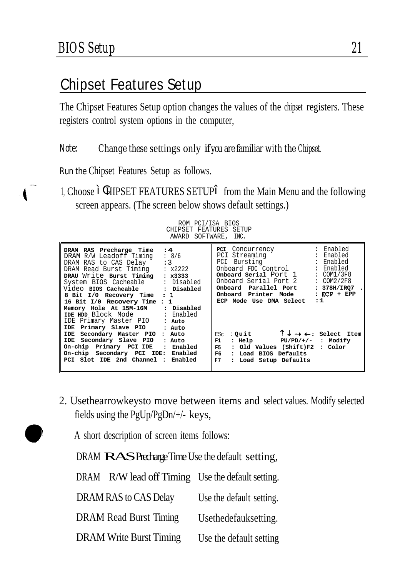#### Chipset Features Setup

The Chipset Features Setup option changes the values of the chipset registers. These registers control system options in the computer,

#### Note: *Change these* settings only *if youare familiar with the Chipset.*

Run the Chipset Features Setup as follows.

1, Choose "CHIPSET FEATURES SETUP" from the Main Menu and the following screen appears. (The screen below shows default settings.)

ROM PCI/ISA BIOS CHIPSET FEATURES SETUP AWARD SOFTWARE, INC.

| :4<br>DRAM RAS Precharge Time<br>: 8/6<br>DRAM R/W Leadoff Timing<br>:3<br>DRAM RAS to CAS Delay<br>$\div$ x2222<br>DRAM Read Burst Timing<br>DRAU Write Burst Timing : x3333<br>System BIOS Cacheable : Disabled<br>8 Bit I/0 Recovery Time<br>$\cdot$ 1<br>16 Bit I/0 Recovery Time : 1<br>Memory Hole At 15M-16M : Disabled<br>IDE HDD Block Mode : Enabled<br>IDE Primary Master PIO : Auto | PCI Concurrency : Enabled<br>PCI Streaming : Enabled<br>PCI Bursting : Enabled<br>Onboard FDC Control : Enabled<br>Onboard Serial Port 1<br>Onboard Serial Port 2<br>Onboard Parallel Port<br>Onboard Printer Mode<br>ECP Mode Use DMA Select | : COM1/3F8<br>$\therefore$ COM2/2F8<br>: 378H/IRQ7<br>$: ECP + EPP$<br>1.1 |
|-------------------------------------------------------------------------------------------------------------------------------------------------------------------------------------------------------------------------------------------------------------------------------------------------------------------------------------------------------------------------------------------------|-----------------------------------------------------------------------------------------------------------------------------------------------------------------------------------------------------------------------------------------------|----------------------------------------------------------------------------|
| IDE Primary Slave PIO : Auto<br>IDE Secondary Master PIO : Auto<br>IDE Secondary Slave PIO<br>: Auto<br>On-chip Primary PCI IDE : Enabled<br>On-chip Secondary PCI IDE:<br>Enabled<br>PCI Slot IDE 2nd Channel :<br>Enabled                                                                                                                                                                     | ESC : Ouit<br>: Help PU/PD/+/- : Modify<br>F1<br>F5 3<br>: Old Values (Shift)F2 : Color<br>F6 1<br>: Load BIOS Defaults<br>F7<br>: Load Setup Defaults                                                                                        | $\uparrow \downarrow \rightarrow \leftarrow$ : Select Item                 |

2. Usethearrowkeysto move between items and select values. Modify selected fields using the PgUp/PgDn/+/- keys,

A short description of screen items follows:

DRAM RAS Precharge Time Use the default setting,

DRAM R/W lead off Timing Use the default setting. DRAM RAS to CAS Delay Use the default setting. DRAM Read Burst Timing Usethedefauksetting. DRAM Write Burst Timing Use the default setting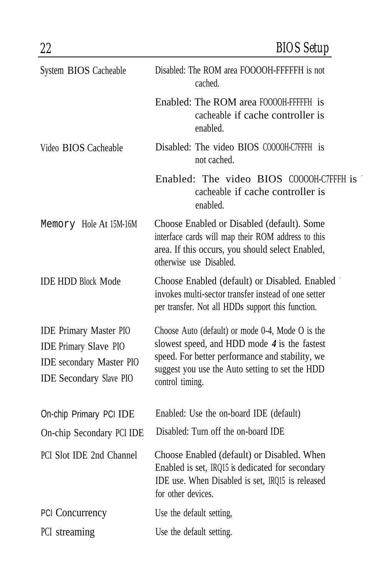| System BIOS Cacheable                                                                                                              | Disabled: The ROM area FOOOOH-FFFFFH is not<br>cached.                                                                                                                                                                      |
|------------------------------------------------------------------------------------------------------------------------------------|-----------------------------------------------------------------------------------------------------------------------------------------------------------------------------------------------------------------------------|
|                                                                                                                                    | Enabled: The ROM area F0000H-FFFFFH is<br>cacheable if cache controller is<br>enabled.                                                                                                                                      |
| Video BIOS Cacheable                                                                                                               | Disabled: The video BIOS C0000H-C7FFFH is<br>not cached.                                                                                                                                                                    |
|                                                                                                                                    | Enabled: The video BIOS C0000H-C7FFFH is<br>cacheable if cache controller is<br>enabled.                                                                                                                                    |
| Memory Hole At 15M-16M                                                                                                             | Choose Enabled or Disabled (default). Some<br>interface cards will map their ROM address to this<br>area. If this occurs, you should select Enabled,<br>otherwise use Disabled.                                             |
| <b>IDE HDD Block Mode</b>                                                                                                          | Choose Enabled (default) or Disabled. Enabled<br>invokes multi-sector transfer instead of one setter<br>per transfer. Not all HDDs support this function.                                                                   |
| <b>IDE Primary Master PIO</b><br><b>IDE Primary Slave PIO</b><br><b>IDE</b> secondary Master PIO<br><b>IDE Secondary Slave PIO</b> | Choose Auto (default) or mode 0-4, Mode O is the<br>slowest speed, and HDD mode $4$ is the fastest<br>speed. For better performance and stability, we<br>suggest you use the Auto setting to set the HDD<br>control timing. |
| On-chip Primary PCI IDE                                                                                                            | Enabled: Use the on-board IDE (default)                                                                                                                                                                                     |
| On-chip Secondary PCI IDE                                                                                                          | Disabled: Turn off the on-board IDE                                                                                                                                                                                         |
| PCI Slot IDE 2nd Channel                                                                                                           | Choose Enabled (default) or Disabled. When<br>Enabled is set, IRQ15 is dedicated for secondary<br>IDE use. When Disabled is set, IRQ15 is released<br>for other devices.                                                    |
| <b>PCI Concurrency</b>                                                                                                             | Use the default setting,                                                                                                                                                                                                    |
| PCI streaming                                                                                                                      | Use the default setting.                                                                                                                                                                                                    |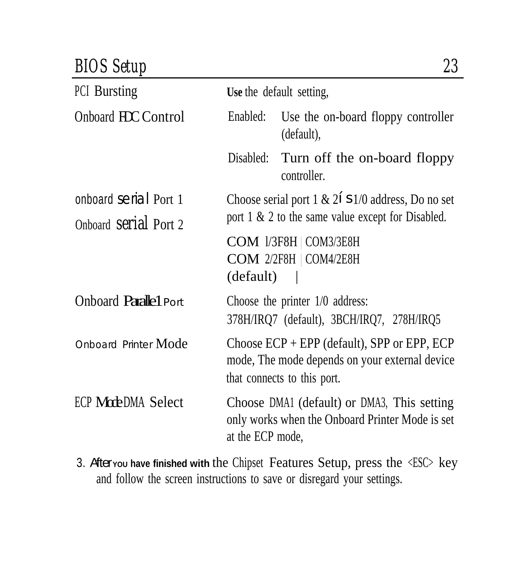#### *BIOS Setup 23*

| <b>PCI</b> Bursting          | Use the default setting,                             |                                                                                                                                     |
|------------------------------|------------------------------------------------------|-------------------------------------------------------------------------------------------------------------------------------------|
| Onboard HCC Control          | Enabled:                                             | Use the on-board floppy controller<br>(default),                                                                                    |
|                              | Disabled:                                            | Turn off the on-board floppy<br>controller.                                                                                         |
| onboard serial Port 1        | Choose serial port 1 & 2' s1/0 address, Do no set    |                                                                                                                                     |
| Onboard <b>Serial</b> Port 2 | port $1 \& 2$ to the same value except for Disabled. |                                                                                                                                     |
|                              | (default)                                            | COM 1/3F8H   COM3/3E8H<br>COM 2/2F8H   COM4/2E8H                                                                                    |
| <b>Onboard Parallel Port</b> |                                                      | Choose the printer $1/0$ address:<br>378H/IRQ7 (default), 3BCH/IRQ7, 278H/IRQ5                                                      |
| Onboard Printer Mode         |                                                      | Choose $ECP + EPP$ (default), SPP or $EPP$ , $ECP$<br>mode, The mode depends on your external device<br>that connects to this port. |
| ECP ModeDMA Select           | at the ECP mode,                                     | Choose DMA1 (default) or DMA3, This setting<br>only works when the Onboard Printer Mode is set                                      |

3. After**YOU have finished with** the Chipset Features Setup, press the <ESC> key and follow the screen instructions to save or disregard your settings.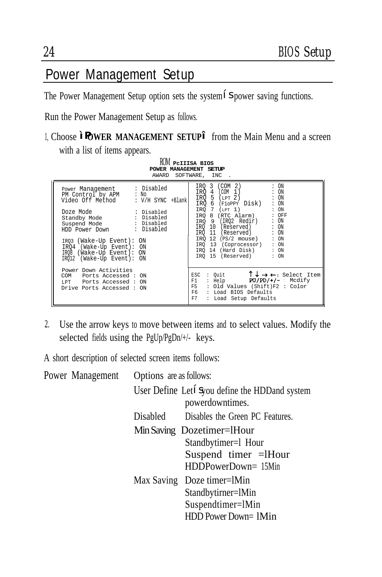#### Power Management Setup

The Power Management Setup option sets the system' Spower saving functions.

Run the Power Management Setup as follows.

1, Choose "P**OWER MANAGEMENT SETUP**" from the Main Menu and a screen with a list of items appears.

| ROM PCIIISA BIOS<br>POWER MANAGEMENT SETUP<br>AWARD SOFTWARE, INC                                                                                                                                                                                                                                                                |                                                                                                                                                                                                                                                                                                                                                                                          |
|----------------------------------------------------------------------------------------------------------------------------------------------------------------------------------------------------------------------------------------------------------------------------------------------------------------------------------|------------------------------------------------------------------------------------------------------------------------------------------------------------------------------------------------------------------------------------------------------------------------------------------------------------------------------------------------------------------------------------------|
| : Disabled<br>Power Management<br>PM Control by APM : No<br>Video Off Method<br>: V/H SYNC +Blank<br>: Disabled<br>Doze Mode<br>Standby Mode : Disabled<br>Suspend Mode : Disabled<br>HDD Power Down : Disabled<br>IR03 (Wake-Up Event): ON<br>IRO4 (Wake-Up Event): ON<br>IR08 (Wake-Up Event): ON<br>IR012 (Wake-Up Event): ON | IRO 3 (COM 2)<br>: ON<br>IRO 4 (COM 1)<br>: ON<br>IRO $5$ (LPT $2$ )<br>: ON<br>: ON<br>IRO 6 (FloPPY Disk)<br>$\therefore$ ON<br>IRQ $7$ (LPT 1)<br>IRQ 8 (RTC Alarm) : OFF<br>: ON<br>IRO 9 (IRO2 Redir)<br>IRO 10 (Reserved)<br>: ON<br>IRO 11 (Reserved)<br>: ON<br>IRQ 12 (PS/2 mouse)<br>: ON<br>IRO 13 (Coprocessor) : ON<br>IRO 14 (Hard Disk) : ON<br>IRO 15 (Reserved)<br>: ON |
| Power Down Activities<br>COM Ports Accessed: ON<br>LPT Ports Accessed: ON<br>Drive Ports Accessed : ON                                                                                                                                                                                                                           | $\uparrow \downarrow \rightarrow \leftarrow:$ Select Item<br>: Quit<br>ESC<br>$PU/PD/+/-$ Mcdify<br>: Help<br>F1<br>F5 : Old Values (Shift)F2 : Color<br>F6 : Load BIOS Defaults<br>F7<br>: Load Setup Defaults                                                                                                                                                                          |

2. Use the arrow keys to move between items and to select values. Modify the selected fields using the PgUp/PgDn/+/- keys.

A short description of selected screen items follows:

| Power Management | Options are as follows: |                                                                                                  |
|------------------|-------------------------|--------------------------------------------------------------------------------------------------|
|                  |                         | User Define Let' Syou define the HDD and system<br>powerdowntimes.                               |
|                  | Disabled                | Disables the Green PC Features.                                                                  |
|                  |                         | Min Saving Dozetimer=lHour<br>Standbytimer=1 Hour<br>Suspend timer = Hour<br>HDDPowerDown= 15Min |
|                  |                         | Max Saving Doze timer=lMin<br>Standbytirner=lMin<br>Suspendtimer=lMin<br>HDD Power Down= 1Min    |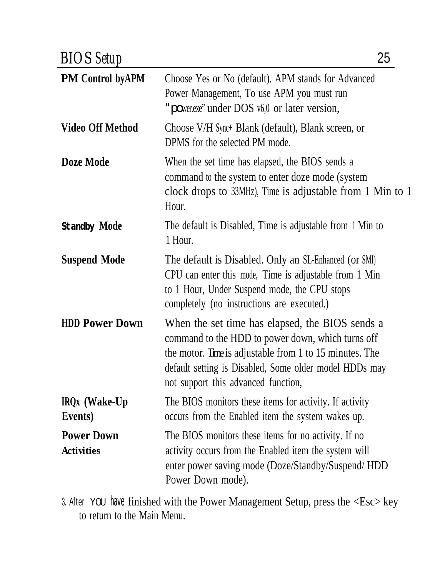| <b>BIOS</b> Setup                      | 25                                                                                                                                                                                                                                                               |
|----------------------------------------|------------------------------------------------------------------------------------------------------------------------------------------------------------------------------------------------------------------------------------------------------------------|
| <b>PM Control byAPM</b>                | Choose Yes or No (default). APM stands for Advanced<br>Power Management, To use APM you must run<br>"power.exe" under DOS v6,0 or later version,                                                                                                                 |
| <b>Video Off Method</b>                | Choose V/H Sync+ Blank (default), Blank screen, or<br>DPMS for the selected PM mode.                                                                                                                                                                             |
| Doze Mode                              | When the set time has elapsed, the BIOS sends a<br>command to the system to enter doze mode (system<br>clock drops to 33MHz), Time is adjustable from 1 Min to 1<br>Hour.                                                                                        |
| Standby Mode                           | The default is Disabled, Time is adjustable from 1 Min to<br>1 Hour.                                                                                                                                                                                             |
| <b>Suspend Mode</b>                    | The default is Disabled. Only an SL-Enhanced (or SMI)<br>CPU can enter this mode, Time is adjustable from 1 Min<br>to 1 Hour, Under Suspend mode, the CPU stops<br>completely (no instructions are executed.)                                                    |
| <b>HDD Power Down</b>                  | When the set time has elapsed, the BIOS sends a<br>command to the HDD to power down, which turns off<br>the motor. Time is adjustable from 1 to 15 minutes. The<br>default setting is Disabled, Some older model HDDs may<br>not support this advanced function, |
| IRQx (Wake-Up<br>Events)               | The BIOS monitors these items for activity. If activity<br>occurs from the Enabled item the system wakes up.                                                                                                                                                     |
| <b>Power Down</b><br><b>Activities</b> | The BIOS monitors these items for no activity. If no<br>activity occurs from the Enabled item the system will<br>enter power saving mode (Doze/Standby/Suspend/HDD<br>Power Down mode).                                                                          |

3. After YOU have finished with the Power Management Setup, press the <Esc> key to return to the Main Menu.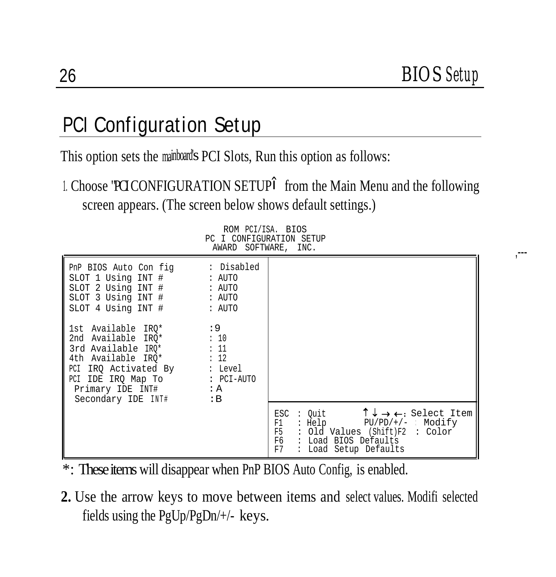,---

#### PCI Configuration Setup

This option sets the mainboard's PCI Slots, Run this option as follows:

1. Choose "PCICONFIGURATION SETUP" from the Main Menu and the following screen appears. (The screen below shows default settings.)

ROM PCI/ISA. BIOS

PC I CONFIGURATION SETUP AWARD SOFTWARE, INC. PnP BIOS Auto Con fig : Disabled<br>SLOT 1 Using INT # : AUTO SLOT 1 Using INT # SLOT 2 Using INT # : AUTO<br>SLOT 3 Using INT # : AUTO SLOT 3 Using INT # SLOT 4 Using INT # : AUTO 1st Available IRQ\* :9<br>2nd Available IRO\* :10 2nd Available  $IRQ^*$  : 10<br>3rd Available  $IRO^*$  : 11  $3rd$  Available  $IRQ^*$  : 11<br>4th Available  $IRO^*$  : 12 4th Available  $IRQ*$ PCI IRQ Activated By : Level<br>PCI IDE IRO Map To : PCI-AUTO PCI IDE IRQ Map To Primary IDE INT# : A<br>Secondary IDE INT# : R Secondary IDE INT# ESC : Quit  $\uparrow \downarrow \rightarrow \leftarrow$ : Select Item<br>F1 : Help PU/PD/+/- : Modify F1 : Help PU/PD/+/- : Modify F5 : Old Values (Shift)F2 : Color<br>F6 : Load BIOS Defaults F6 : Load BIOS Defaults : Load Setup Defaults

- \*: These items will disappear when PnP BIOS Auto Config, is enabled.
- **2.** Use the arrow keys to move between items and select values. Modifi selected fields using the PgUp/PgDn/+/- keys.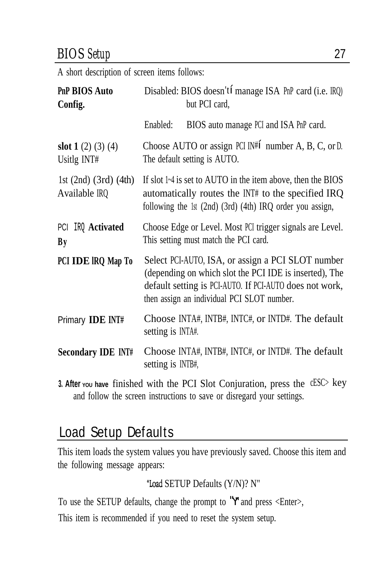#### *BIOS Setup* 27

A short description of screen items follows:

| PnP BIOS Auto<br>Config.                     | Disabled: BIOS doesn't' manage ISA PnP card (i.e. IRQ)<br>but PCI card,                                                                                                                                              |  |  |  |  |  |  |
|----------------------------------------------|----------------------------------------------------------------------------------------------------------------------------------------------------------------------------------------------------------------------|--|--|--|--|--|--|
|                                              | BIOS auto manage PCI and ISA PnP card.<br>Enabled:                                                                                                                                                                   |  |  |  |  |  |  |
| slot $1(2)(3)(4)$<br>Usitlg INT#             | Choose AUTO or assign PCI IN#' number A, B, C, or D.<br>The default setting is AUTO.                                                                                                                                 |  |  |  |  |  |  |
| 1st $(2nd)$ $(3rd)$ $(4th)$<br>Available IRQ | If slot $1-4$ is set to AUTO in the item above, then the BIOS<br>automatically routes the INT# to the specified IRQ<br>following the 1st (2nd) (3rd) (4th) IRQ order you assign,                                     |  |  |  |  |  |  |
| PCI IRQ Activated<br><b>By</b>               | Choose Edge or Level. Most PCI trigger signals are Level.<br>This setting must match the PCI card.                                                                                                                   |  |  |  |  |  |  |
| PCI IDE IRQ Map To                           | Select PCI-AUTO, ISA, or assign a PCI SLOT number<br>(depending on which slot the PCI IDE is inserted), The<br>default setting is PCI-AUTO. If PCI-AUTO does not work,<br>then assign an individual PCI SLOT number. |  |  |  |  |  |  |
| Primary IDE INT#                             | Choose INTA#, INTB#, INTC#, or INTD#. The default<br>setting is INTA#.                                                                                                                                               |  |  |  |  |  |  |
| <b>Secondary IDE INT#</b>                    | Choose INTA#, INTB#, INTC#, or INTD#. The default<br>setting is INTB#,                                                                                                                                               |  |  |  |  |  |  |

**3. After you have** finished with the PCI Slot Conjuration, press the cESC> key and follow the screen instructions to save or disregard your settings.

#### Load Setup Defaults

This item loads the system values you have previously saved. Choose this item and the following message appears:

"Load SETUP Defaults (Y/N)? N"

To use the SETUP defaults, change the prompt to "Y"and press <Enter>,

This item is recommended if you need to reset the system setup.